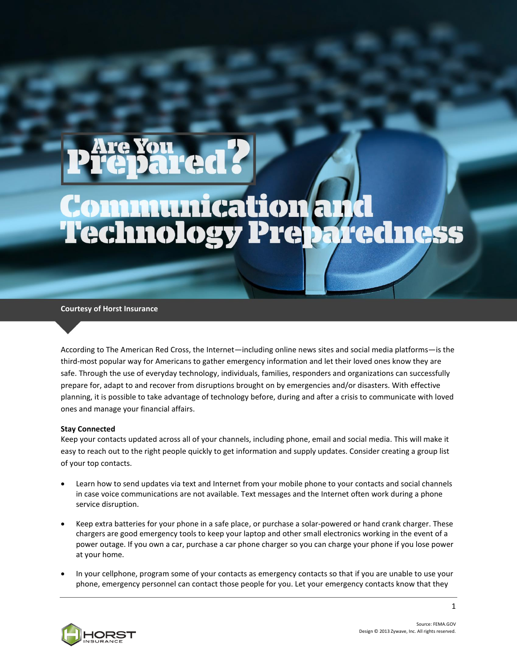# Communication and<br>Technology Preparedness

**Courtesy of Horst Insurance**

According to The American Red Cross, the Internet—including online news sites and social media platforms—is the third-most popular way for Americans to gather emergency information and let their loved ones know they are safe. Through the use of everyday technology, individuals, families, responders and organizations can successfully prepare for, adapt to and recover from disruptions brought on by emergencies and/or disasters. With effective planning, it is possible to take advantage of technology before, during and after a crisis to communicate with loved ones and manage your financial affairs.

# **Stay Connected**

Keep your contacts updated across all of your channels, including phone, email and social media. This will make it easy to reach out to the right people quickly to get information and supply updates. Consider creating a group list of your top contacts.

- Learn how to send updates via text and Internet from your mobile phone to your contacts and social channels in case voice communications are not available. Text messages and the Internet often work during a phone service disruption.
- Keep extra batteries for your phone in a safe place, or purchase a solar-powered or hand crank charger. These chargers are good emergency tools to keep your laptop and other small electronics working in the event of a power outage. If you own a car, purchase a car phone charger so you can charge your phone if you lose power at your home.
- In your cellphone, program some of your contacts as emergency contacts so that if you are unable to use your phone, emergency personnel can contact those people for you. Let your emergency contacts know that they



Source: FEMA.GOV Design © 2013 Zywave, Inc. All rights reserved.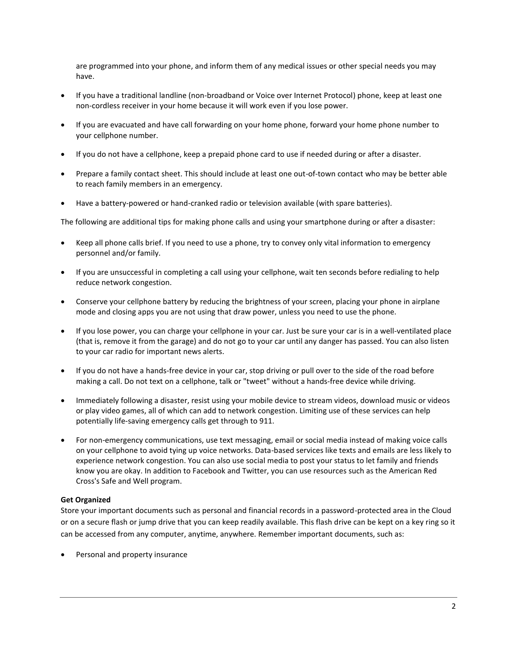are programmed into your phone, and inform them of any medical issues or other special needs you may have.

- If you have a traditional landline (non-broadband or Voice over Internet Protocol) phone, keep at least one non-cordless receiver in your home because it will work even if you lose power.
- If you are evacuated and have call forwarding on your home phone, forward your home phone number to your cellphone number.
- If you do not have a cellphone, keep a prepaid phone card to use if needed during or after a disaster.
- Prepare a family contact sheet. This should include at least one out-of-town contact who may be better able to reach family members in an emergency.
- Have a battery-powered or hand-cranked radio or television available (with spare batteries).

The following are additional tips for making phone calls and using your smartphone during or after a disaster:

- Keep all phone calls brief. If you need to use a phone, try to convey only vital information to emergency personnel and/or family.
- If you are unsuccessful in completing a call using your cellphone, wait ten seconds before redialing to help reduce network congestion.
- Conserve your cellphone battery by reducing the brightness of your screen, placing your phone in airplane mode and closing apps you are not using that draw power, unless you need to use the phone.
- If you lose power, you can charge your cellphone in your car. Just be sure your car is in a well-ventilated place (that is, remove it from the garage) and do not go to your car until any danger has passed. You can also listen to your car radio for important news alerts.
- If you do not have a hands-free device in your car, stop driving or pull over to the side of the road before making a call. Do not text on a cellphone, talk or "tweet" without a hands-free device while driving.
- Immediately following a disaster, resist using your mobile device to stream videos, download music or videos or play video games, all of which can add to network congestion. Limiting use of these services can help potentially life-saving emergency calls get through to 911.
- For non-emergency communications, use text messaging, email or social media instead of making voice calls on your cellphone to avoid tying up voice networks. Data-based services like texts and emails are less likely to experience network congestion. You can also use social media to post your status to let family and friends know you are okay. In addition to Facebook and Twitter, you can use resources such as the American Red Cross's Safe and Well program.

# **Get Organized**

Store your important documents such as personal and financial records in a password-protected area in the Cloud or on a secure flash or jump drive that you can keep readily available. This flash drive can be kept on a key ring so it can be accessed from any computer, anytime, anywhere. Remember important documents, such as:

Personal and property insurance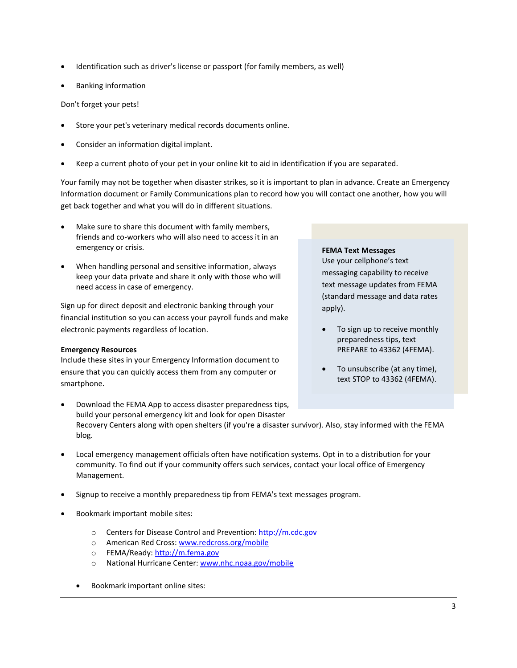- Identification such as driver's license or passport (for family members, as well)
- Banking information

Don't forget your pets!

- Store your pet's veterinary medical records documents online.
- Consider an information digital implant.
- Keep a current photo of your pet in your online kit to aid in identification if you are separated.

Your family may not be together when disaster strikes, so it is important to plan in advance. Create an Emergency Information document or Family Communications plan to record how you will contact one another, how you will get back together and what you will do in different situations.

- Make sure to share this document with family members, friends and co-workers who will also need to access it in an emergency or crisis.
- When handling personal and sensitive information, always keep your data private and share it only with those who will need access in case of emergency.

Sign up for direct deposit and electronic banking through your financial institution so you can access your payroll funds and make electronic payments regardless of location.

# **Emergency Resources**

Include these sites in your Emergency Information document to ensure that you can quickly access them from any computer or smartphone.

## **FEMA Text Messages**

Use your cellphone's text messaging capability to receive text message updates from FEMA (standard message and data rates apply).

- To sign up to receive monthly preparedness tips, text PREPARE to 43362 (4FEMA).
- To unsubscribe (at any time), text STOP to 43362 (4FEMA).
- Download the FEMA App to access disaster preparedness tips, build your personal emergency kit and look for open Disaster Recovery Centers along with open shelters (if you're a disaster survivor). Also, stay informed with the FEMA blog.
- Local emergency management officials often have notification systems. Opt in to a distribution for your community. To find out if your community offers such services, contact your local office of Emergency Management.
- Signup to receive a monthly preparedness tip from FEMA's text messages program.
- Bookmark important mobile sites:
	- o Centers for Disease Control and Prevention[: http://m.cdc.gov](http://m.cdc.gov/)
	- o American Red Cross: [www.redcross.org/mobile](http://www.redcross.org/mobile)
	- o FEMA/Ready[: http://m.fema.gov](http://m.fema.gov/)
	- o National Hurricane Center: [www.nhc.noaa.gov/mobile](http://www.nhc.noaa.gov/mobile)
	- Bookmark important online sites: